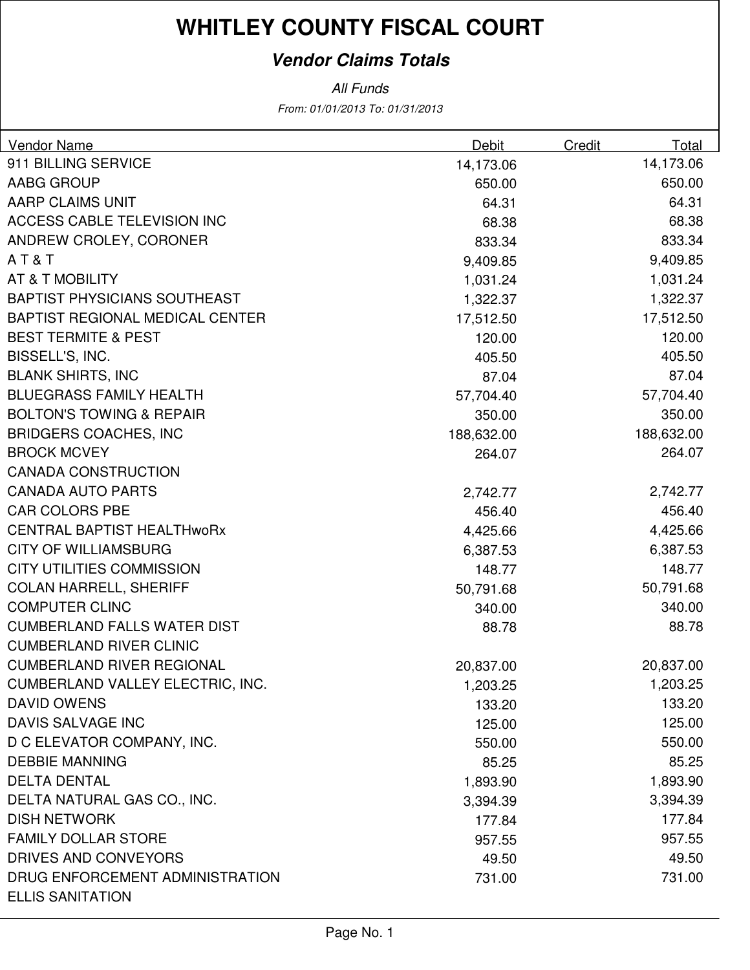# **WHITLEY COUNTY FISCAL COURT**

### **Vendor Claims Totals**

From: 01/01/2013 To: 01/31/2013 All Funds

| Vendor Name                            | Debit      | Credit | Total      |
|----------------------------------------|------------|--------|------------|
| 911 BILLING SERVICE                    | 14,173.06  |        | 14,173.06  |
| AABG GROUP                             | 650.00     |        | 650.00     |
| AARP CLAIMS UNIT                       | 64.31      |        | 64.31      |
| ACCESS CABLE TELEVISION INC            | 68.38      |        | 68.38      |
| ANDREW CROLEY, CORONER                 | 833.34     |        | 833.34     |
| AT&T                                   | 9,409.85   |        | 9,409.85   |
| AT & T MOBILITY                        | 1,031.24   |        | 1,031.24   |
| <b>BAPTIST PHYSICIANS SOUTHEAST</b>    | 1,322.37   |        | 1,322.37   |
| <b>BAPTIST REGIONAL MEDICAL CENTER</b> | 17,512.50  |        | 17,512.50  |
| <b>BEST TERMITE &amp; PEST</b>         | 120.00     |        | 120.00     |
| BISSELL'S, INC.                        | 405.50     |        | 405.50     |
| <b>BLANK SHIRTS, INC</b>               | 87.04      |        | 87.04      |
| <b>BLUEGRASS FAMILY HEALTH</b>         | 57,704.40  |        | 57,704.40  |
| <b>BOLTON'S TOWING &amp; REPAIR</b>    | 350.00     |        | 350.00     |
| <b>BRIDGERS COACHES, INC</b>           | 188,632.00 |        | 188,632.00 |
| <b>BROCK MCVEY</b>                     | 264.07     |        | 264.07     |
| <b>CANADA CONSTRUCTION</b>             |            |        |            |
| <b>CANADA AUTO PARTS</b>               | 2,742.77   |        | 2,742.77   |
| <b>CAR COLORS PBE</b>                  | 456.40     |        | 456.40     |
| <b>CENTRAL BAPTIST HEALTHwoRx</b>      | 4,425.66   |        | 4,425.66   |
| <b>CITY OF WILLIAMSBURG</b>            | 6,387.53   |        | 6,387.53   |
| <b>CITY UTILITIES COMMISSION</b>       | 148.77     |        | 148.77     |
| <b>COLAN HARRELL, SHERIFF</b>          | 50,791.68  |        | 50,791.68  |
| <b>COMPUTER CLINC</b>                  | 340.00     |        | 340.00     |
| <b>CUMBERLAND FALLS WATER DIST</b>     | 88.78      |        | 88.78      |
| <b>CUMBERLAND RIVER CLINIC</b>         |            |        |            |
| <b>CUMBERLAND RIVER REGIONAL</b>       | 20,837.00  |        | 20,837.00  |
| CUMBERLAND VALLEY ELECTRIC, INC.       | 1,203.25   |        | 1,203.25   |
| <b>DAVID OWENS</b>                     | 133.20     |        | 133.20     |
| DAVIS SALVAGE INC                      | 125.00     |        | 125.00     |
| D C ELEVATOR COMPANY, INC.             | 550.00     |        | 550.00     |
| <b>DEBBIE MANNING</b>                  | 85.25      |        | 85.25      |
| <b>DELTA DENTAL</b>                    | 1,893.90   |        | 1,893.90   |
| DELTA NATURAL GAS CO., INC.            | 3,394.39   |        | 3,394.39   |
| <b>DISH NETWORK</b>                    | 177.84     |        | 177.84     |
| <b>FAMILY DOLLAR STORE</b>             | 957.55     |        | 957.55     |
| DRIVES AND CONVEYORS                   | 49.50      |        | 49.50      |
| DRUG ENFORCEMENT ADMINISTRATION        | 731.00     |        | 731.00     |
| <b>ELLIS SANITATION</b>                |            |        |            |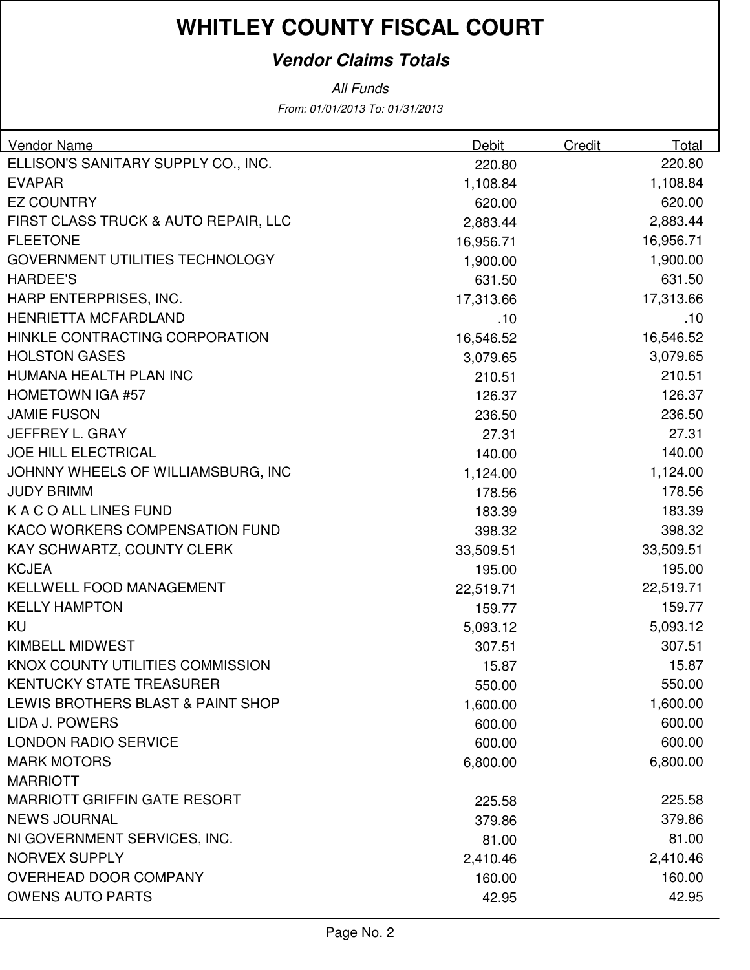# **WHITLEY COUNTY FISCAL COURT**

#### **Vendor Claims Totals**

All Funds

From: 01/01/2013 To: 01/31/2013

| <b>Vendor Name</b>                     | <b>Debit</b> | Credit | Total     |
|----------------------------------------|--------------|--------|-----------|
| ELLISON'S SANITARY SUPPLY CO., INC.    | 220.80       |        | 220.80    |
| <b>EVAPAR</b>                          | 1,108.84     |        | 1,108.84  |
| <b>EZ COUNTRY</b>                      | 620.00       |        | 620.00    |
| FIRST CLASS TRUCK & AUTO REPAIR, LLC   | 2,883.44     |        | 2,883.44  |
| <b>FLEETONE</b>                        | 16,956.71    |        | 16,956.71 |
| <b>GOVERNMENT UTILITIES TECHNOLOGY</b> | 1,900.00     |        | 1,900.00  |
| <b>HARDEE'S</b>                        | 631.50       |        | 631.50    |
| HARP ENTERPRISES, INC.                 | 17,313.66    |        | 17,313.66 |
| <b>HENRIETTA MCFARDLAND</b>            | .10          |        | .10       |
| HINKLE CONTRACTING CORPORATION         | 16,546.52    |        | 16,546.52 |
| <b>HOLSTON GASES</b>                   | 3,079.65     |        | 3,079.65  |
| HUMANA HEALTH PLAN INC                 | 210.51       |        | 210.51    |
| <b>HOMETOWN IGA #57</b>                | 126.37       |        | 126.37    |
| <b>JAMIE FUSON</b>                     | 236.50       |        | 236.50    |
| JEFFREY L. GRAY                        | 27.31        |        | 27.31     |
| <b>JOE HILL ELECTRICAL</b>             | 140.00       |        | 140.00    |
| JOHNNY WHEELS OF WILLIAMSBURG, INC     | 1,124.00     |        | 1,124.00  |
| <b>JUDY BRIMM</b>                      | 178.56       |        | 178.56    |
| K A C O ALL LINES FUND                 | 183.39       |        | 183.39    |
| KACO WORKERS COMPENSATION FUND         | 398.32       |        | 398.32    |
| KAY SCHWARTZ, COUNTY CLERK             | 33,509.51    |        | 33,509.51 |
| <b>KCJEA</b>                           | 195.00       |        | 195.00    |
| <b>KELLWELL FOOD MANAGEMENT</b>        | 22,519.71    |        | 22,519.71 |
| <b>KELLY HAMPTON</b>                   | 159.77       |        | 159.77    |
| KU                                     | 5,093.12     |        | 5,093.12  |
| <b>KIMBELL MIDWEST</b>                 | 307.51       |        | 307.51    |
| KNOX COUNTY UTILITIES COMMISSION       | 15.87        |        | 15.87     |
| <b>KENTUCKY STATE TREASURER</b>        | 550.00       |        | 550.00    |
| LEWIS BROTHERS BLAST & PAINT SHOP      | 1,600.00     |        | 1,600.00  |
| LIDA J. POWERS                         | 600.00       |        | 600.00    |
| <b>LONDON RADIO SERVICE</b>            | 600.00       |        | 600.00    |
| <b>MARK MOTORS</b>                     | 6,800.00     |        | 6,800.00  |
| <b>MARRIOTT</b>                        |              |        |           |
| <b>MARRIOTT GRIFFIN GATE RESORT</b>    | 225.58       |        | 225.58    |
| <b>NEWS JOURNAL</b>                    | 379.86       |        | 379.86    |
| NI GOVERNMENT SERVICES, INC.           | 81.00        |        | 81.00     |
| <b>NORVEX SUPPLY</b>                   | 2,410.46     |        | 2,410.46  |
| OVERHEAD DOOR COMPANY                  | 160.00       |        | 160.00    |
| <b>OWENS AUTO PARTS</b>                | 42.95        |        | 42.95     |